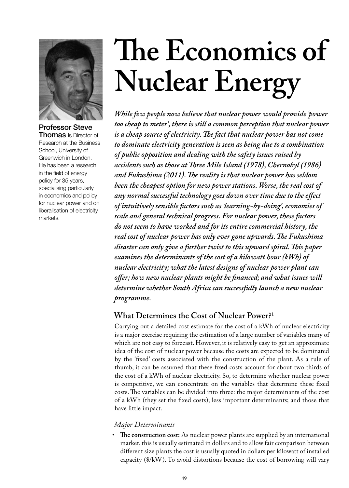

Professor Steve Thomas is Director of Research at the Business School, University of Greenwich in London. He has been a research in the field of energy policy for 35 years, specialising particularly in economics and policy for nuclear power and on liberalisation of electricity markets.

# **The Economics of Nuclear Energy**

*While few people now believe that nuclear power would provide 'power too cheap to meter', there is still a common perception that nuclear power is a cheap source of electricity. The fact that nuclear power has not come to dominate electricity generation is seen as being due to a combination of public opposition and dealing with the safety issues raised by accidents such as those at Three Mile Island (1978), Chernobyl (1986) and Fukushima (2011). The reality is that nuclear power has seldom been the cheapest option for new power stations. Worse, the real cost of any normal successful technology goes down over time due to the effect of intuitively sensible factors such as 'learning-by-doing', economies of scale and general technical progress. For nuclear power, these factors do not seem to have worked and for its entire commercial history, the real cost of nuclear power has only ever gone upwards. The Fukushima disaster can only give a further twist to this upward spiral. This paper examines the determinants of the cost of a kilowatt hour (kWh) of nuclear electricity; what the latest designs of nuclear power plant can offer; how new nuclear plants might be financed; and what issues will determine whether South Africa can successfully launch a new nuclear programme.*

# **What Determines the Cost of Nuclear Power?1**

Carrying out a detailed cost estimate for the cost of a kWh of nuclear electricity is a major exercise requiring the estimation of a large number of variables many of which are not easy to forecast. However, it is relatively easy to get an approximate idea of the cost of nuclear power because the costs are expected to be dominated by the 'fixed' costs associated with the construction of the plant. As a rule of thumb, it can be assumed that these fixed costs account for about two thirds of the cost of a kWh of nuclear electricity. So, to determine whether nuclear power is competitive, we can concentrate on the variables that determine these fixed costs. The variables can be divided into three: the major determinants of the cost of a kWh (they set the fixed costs); less important determinants; and those that have little impact.

### *Major Determinants*

**• The construction cost:** As nuclear power plants are supplied by an international market, this is usually estimated in dollars and to allow fair comparison between different size plants the cost is usually quoted in dollars per kilowatt of installed capacity (\$/kW). To avoid distortions because the cost of borrowing will vary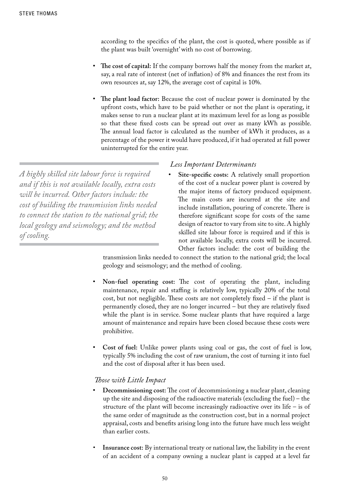according to the specifics of the plant, the cost is quoted, where possible as if the plant was built 'overnight' with no cost of borrowing.

- The cost of capital: If the company borrows half the money from the market at, say, a real rate of interest (net of inflation) of 8% and finances the rest from its own resources at, say 12%, the average cost of capital is 10%.
- **The plant load factor:** Because the cost of nuclear power is dominated by the upfront costs, which have to be paid whether or not the plant is operating, it makes sense to run a nuclear plant at its maximum level for as long as possible so that these fixed costs can be spread out over as many kWh as possible. The annual load factor is calculated as the number of kWh it produces, as a percentage of the power it would have produced, if it had operated at full power uninterrupted for the entire year.

*A highly skilled site labour force is required and if this is not available locally, extra costs will be incurred. Other factors include: the cost of building the transmission links needed to connect the station to the national grid; the local geology and seismology; and the method of cooling.*

#### *Less Important Determinants*

Site-specific costs: A relatively small proportion of the cost of a nuclear power plant is covered by the major items of factory produced equipment. The main costs are incurred at the site and include installation, pouring of concrete. There is therefore significant scope for costs of the same design of reactor to vary from site to site. A highly skilled site labour force is required and if this is not available locally, extra costs will be incurred. Other factors include: the cost of building the

transmission links needed to connect the station to the national grid; the local geology and seismology; and the method of cooling.

- **Non-fuel operating cost:** The cost of operating the plant, including maintenance, repair and staffing is relatively low, typically 20% of the total cost, but not negligible. These costs are not completely fixed – if the plant is permanently closed, they are no longer incurred – but they are relatively fixed while the plant is in service. Some nuclear plants that have required a large amount of maintenance and repairs have been closed because these costs were prohibitive.
- **Cost of fuel:** Unlike power plants using coal or gas, the cost of fuel is low, typically 5% including the cost of raw uranium, the cost of turning it into fuel and the cost of disposal after it has been used.

#### *Those with Little Impact*

- **Decommissioning cost:** The cost of decommissioning a nuclear plant, cleaning up the site and disposing of the radioactive materials (excluding the fuel) – the structure of the plant will become increasingly radioactive over its life – is of the same order of magnitude as the construction cost, but in a normal project appraisal, costs and benefits arising long into the future have much less weight than earlier costs.
- **Insurance cost:** By international treaty or national law, the liability in the event of an accident of a company owning a nuclear plant is capped at a level far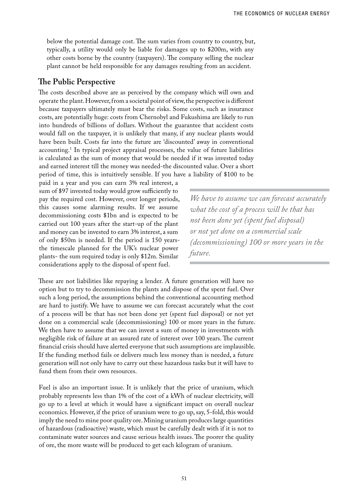below the potential damage cost. The sum varies from country to country, but, typically, a utility would only be liable for damages up to \$200m, with any other costs borne by the country (taxpayers). The company selling the nuclear plant cannot be held responsible for any damages resulting from an accident.

#### **The Public Perspective**

The costs described above are as perceived by the company which will own and operate the plant. However, from a societal point of view, the perspective is different because taxpayers ultimately must bear the risks. Some costs, such as insurance costs, are potentially huge: costs from Chernobyl and Fukushima are likely to run into hundreds of billions of dollars. Without the guarantee that accident costs would fall on the taxpayer, it is unlikely that many, if any nuclear plants would have been built. Costs far into the future are 'discounted' away in conventional accounting.1 In typical project appraisal processes, the value of future liabilities is calculated as the sum of money that would be needed if it was invested today and earned interest till the money was needed-the discounted value. Over a short period of time, this is intuitively sensible. If you have a liability of \$100 to be

paid in a year and you can earn 3% real interest, a sum of \$97 invested today would grow sufficiently to pay the required cost. However, over longer periods, this causes some alarming results. If we assume decommissioning costs \$1bn and is expected to be carried out 100 years after the start-up of the plant and money can be invested to earn 3% interest, a sum of only \$50m is needed. If the period is 150 yearsthe timescale planned for the UK's nuclear power plants- the sum required today is only \$12m. Similar considerations apply to the disposal of spent fuel.

*We have to assume we can forecast accurately what the cost of a process will be that has not been done yet (spent fuel disposal) or not yet done on a commercial scale (decommissioning) 100 or more years in the future.* 

These are not liabilities like repaying a lender. A future generation will have no option but to try to decommission the plants and dispose of the spent fuel. Over such a long period, the assumptions behind the conventional accounting method are hard to justify. We have to assume we can forecast accurately what the cost of a process will be that has not been done yet (spent fuel disposal) or not yet done on a commercial scale (decommissioning) 100 or more years in the future. We then have to assume that we can invest a sum of money in investments with negligible risk of failure at an assured rate of interest over 100 years. The current financial crisis should have alerted everyone that such assumptions are implausible. If the funding method fails or delivers much less money than is needed, a future generation will not only have to carry out these hazardous tasks but it will have to fund them from their own resources.

Fuel is also an important issue. It is unlikely that the price of uranium, which probably represents less than 1% of the cost of a kWh of nuclear electricity, will go up to a level at which it would have a significant impact on overall nuclear economics. However, if the price of uranium were to go up, say, 5-fold, this would imply the need to mine poor quality ore. Mining uranium produces large quantities of hazardous (radioactive) waste, which must be carefully dealt with if it is not to contaminate water sources and cause serious health issues. The poorer the quality of ore, the more waste will be produced to get each kilogram of uranium.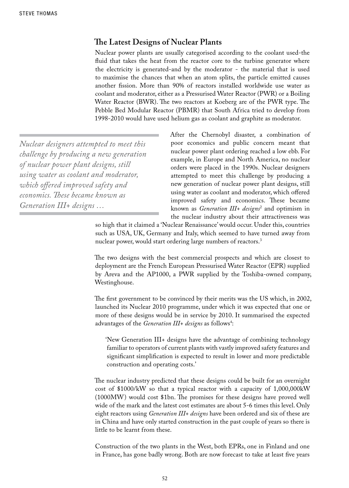#### **The Latest Designs of Nuclear Plants**

Nuclear power plants are usually categorised according to the coolant used-the fluid that takes the heat from the reactor core to the turbine generator where the electricity is generated-and by the moderator - the material that is used to maximise the chances that when an atom splits, the particle emitted causes another fission. More than 90% of reactors installed worldwide use water as coolant and moderator, either as a Pressurised Water Reactor (PWR) or a Boiling Water Reactor (BWR). The two reactors at Koeberg are of the PWR type. The Pebble Bed Modular Reactor (PBMR) that South Africa tried to develop from 1998-2010 would have used helium gas as coolant and graphite as moderator.

*Nuclear designers attempted to meet this challenge by producing a new generation of nuclear power plant designs, still using water as coolant and moderator, which offered improved safety and economics. These became known as Generation III+ designs …*

After the Chernobyl disaster, a combination of poor economics and public concern meant that nuclear power plant ordering reached a low ebb. For example, in Europe and North America, no nuclear orders were placed in the 1990s. Nuclear designers attempted to meet this challenge by producing a new generation of nuclear power plant designs, still using water as coolant and moderator, which offered improved safety and economics. These became known as *Generation III+ designs*<sup>2</sup> and optimism in the nuclear industry about their attractiveness was

so high that it claimed a 'Nuclear Renaissance' would occur. Under this, countries such as USA, UK, Germany and Italy, which seemed to have turned away from nuclear power, would start ordering large numbers of reactors.3

The two designs with the best commercial prospects and which are closest to deployment are the French European Pressurised Water Reactor (EPR) supplied by Areva and the AP1000, a PWR supplied by the Toshiba-owned company, Westinghouse.

The first government to be convinced by their merits was the US which, in 2002, launched its Nuclear 2010 programme, under which it was expected that one or more of these designs would be in service by 2010. It summarised the expected advantages of the *Generation III+ designs* as follows<sup>4</sup>:

'New Generation III+ designs have the advantage of combining technology familiar to operators of current plants with vastly improved safety features and significant simplification is expected to result in lower and more predictable construction and operating costs.'

The nuclear industry predicted that these designs could be built for an overnight cost of \$1000/kW so that a typical reactor with a capacity of 1,000,000kW (1000MW) would cost \$1bn. The promises for these designs have proved well wide of the mark and the latest cost estimates are about 5-6 times this level. Only eight reactors using *Generation III+ designs* have been ordered and six of these are in China and have only started construction in the past couple of years so there is little to be learnt from these.

Construction of the two plants in the West, both EPRs, one in Finland and one in France, has gone badly wrong. Both are now forecast to take at least five years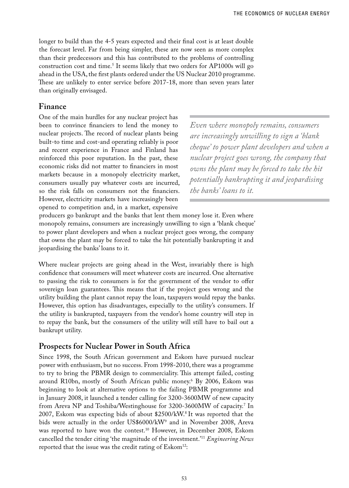longer to build than the 4-5 years expected and their final cost is at least double the forecast level. Far from being simpler, these are now seen as more complex than their predecessors and this has contributed to the problems of controlling construction cost and time.5 It seems likely that two orders for AP1000s will go ahead in the USA, the first plants ordered under the US Nuclear 2010 programme. These are unlikely to enter service before 2017-18, more than seven years later than originally envisaged.

## **Finance**

One of the main hurdles for any nuclear project has been to convince financiers to lend the money to nuclear projects. The record of nuclear plants being built-to time and cost-and operating reliably is poor and recent experience in France and Finland has reinforced this poor reputation. In the past, these economic risks did not matter to financiers in most markets because in a monopoly electricity market, consumers usually pay whatever costs are incurred, so the risk falls on consumers not the financiers. However, electricity markets have increasingly been opened to competition and, in a market, expensive

*Even where monopoly remains, consumers are increasingly unwilling to sign a 'blank cheque' to power plant developers and when a nuclear project goes wrong, the company that owns the plant may be forced to take the hit potentially bankrupting it and jeopardising the banks' loans to it.*

producers go bankrupt and the banks that lent them money lose it. Even where monopoly remains, consumers are increasingly unwilling to sign a 'blank cheque' to power plant developers and when a nuclear project goes wrong, the company that owns the plant may be forced to take the hit potentially bankrupting it and jeopardising the banks' loans to it.

Where nuclear projects are going ahead in the West, invariably there is high confidence that consumers will meet whatever costs are incurred. One alternative to passing the risk to consumers is for the government of the vendor to offer sovereign loan guarantees. This means that if the project goes wrong and the utility building the plant cannot repay the loan, taxpayers would repay the banks. However, this option has disadvantages, especially to the utility's consumers. If the utility is bankrupted, taxpayers from the vendor's home country will step in to repay the bank, but the consumers of the utility will still have to bail out a bankrupt utility.

### **Prospects for Nuclear Power in South Africa**

Since 1998, the South African government and Eskom have pursued nuclear power with enthusiasm, but no success. From 1998-2010, there was a programme to try to bring the PBMR design to commerciality. This attempt failed, costing around R10bn, mostly of South African public money.6 By 2006, Eskom was beginning to look at alternative options to the failing PBMR programme and in January 2008, it launched a tender calling for 3200-3600MW of new capacity from Areva NP and Toshiba/Westinghouse for 3200-3600MW of capacity.<sup>7</sup> In 2007, Eskom was expecting bids of about \$2500/kW.8 It was reported that the bids were actually in the order US\$6000/kW<sup>9</sup> and in November 2008, Areva was reported to have won the contest.<sup>10</sup> However, in December 2008, Eskom cancelled the tender citing 'the magnitude of the investment.'11 *Engineering News* reported that the issue was the credit rating of Eskom<sup>12</sup>: